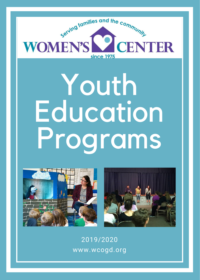

# Youth Education Programs





2019/2020 www.wcogd.org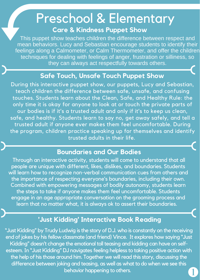### Preschool & Elementary **Care & Kindness Puppet Show**

This puppet show teaches children the difference between respect and mean behaviors. Lucy and Sebastian encourage students to identify their feelings along a Calmometer, or Calm Thermometer, and offer the children techniques for dealing with feelings of anger, frustration or silliness, so they can always act respectfully towards others.

### **Safe Touch, Unsafe Touch Puppet Show**

During this interactive puppet show, our puppets, Lucy and Sebastian, teach children the difference between safe, unsafe, and confusing touches. Students learn about the Clean, Safe, and Healthy Rule: the only time it is okay for anyone to look at or touch the private parts of our bodies is if it's a trusted adult and only if it's to keep us clean, safe, and healthy. Students learn to say no, get away safely, and tell a trusted adult if anyone ever makes them feel uncomfortable. During the program, children practice speaking up for themselves and identify trusted adults in their life.

### **Boundaries and Our Bodies**

Through an interactive activity, students will come to understand that all people are unique with different, likes, dislikes, and boundaries. Students will learn how to recognize non-verbal communication cues from others and the importance of respecting everyone's boundaries, including their own. Combined with empowering messages of bodily autonomy, students learn the steps to take if anyone makes them feel uncomfortable. Students engage in an age appropriate conversation on the grooming process and learn that no matter what, it is always ok to assert their boundaries.

### **'Just Kidding' Interactive Book Reading**

"Just Kidding" by Trudy Ludwig is the story of D.J. who is constantly on the receiving end of jokes by his fellow classmate (and friend) Vince. It explores how saying "Just Kidding" doesn't change the emotional toll teasing and kidding can have on selfesteem.In "Just Kidding" DJ navigates feeling helpless to taking positive action with the help of his those around him. Together we will read this story, discussing the difference between joking and teasing, as well as what to do when we see this behavior happening to others.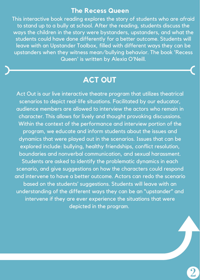#### **The Recess Queen**

This interactive book reading explores the story of students who are afraid to stand up to a bully at school. After the reading, students discuss the ways the children in the story were bystanders, upstanders, and what the students could have done differently for a better outcome. Students will leave with an Upstander Toolbox, filled with different ways they can be upstanders when they witness mean/bullying behavior. The book 'Recess Queen' is written by Alexia O'Neill.

### **ACT OUT**

Act Out is our live interactive theatre program that utilizes theatrical scenarios to depict real-life situations. Facilitated by our educator, audience members are allowed to interview the actors who remain in character. This allows for lively and thought provoking discussions. Within the context of the performance and interview portion of the program, we educate and inform students about the issues and dynamics that were played out in the scenarios. Issues that can be explored include: bullying, healthy friendships, conflict resolution, boundaries and nonverbal communication, and sexual harassment. Students are asked to identify the problematic dynamics in each scenario, and give suggestions on how the characters could respond and intervene to have a better outcome. Actors can redo the scenario based on the students' suggestions. Students will leave with an understanding of the different ways they can be an "upstander" and intervene if they are ever experience the situations that were depicted in the program.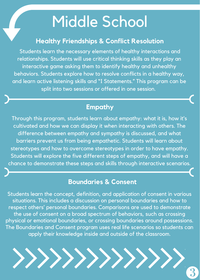### Middle School

### **Healthy Friendships & Conflict Resolution**

Students learn the necessary elements of healthy interactions and relationships. Students will use critical thinking skills as they play an interactive game asking them to identify healthy and unhealthy behaviors. Students explore how to resolve conflicts in a healthy way, and learn active listening skills and "I Statements." This program can be split into two sessions or offered in one session.

### **Empathy**

Through this program, students learn about empathy: what it is, how it's cultivated and how we can display it when interacting with others. The difference between empathy and sympathy is discussed, and what barriers prevent us from being empathetic. Students will learn about stereotypes and how to overcome stereotypes in order to have empathy. Students will explore the five different steps of empathy, and will have a chance to demonstrate these steps and skills through interactive scenarios.

### **Boundaries & Consent**

Students learn the concept, definition, and application of consent in various situations. This includes a discussion on personal boundaries and how to respect others' personal boundaries. Comparisons are used to demonstrate the use of consent on a broad spectrum of behaviors, such as crossing physical or emotional boundaries, or crossing boundaries around possessions. The Boundaries and Consent program uses real life scenarios so students can apply their knowledge inside and outside of the classroom.

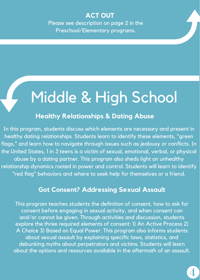### **ACT OUT**

Please see description on page 2 in the Preschool/Elementary programs.

# Middle & High School

### **Healthy Relationships & Dating Abuse**

In this program, students discuss which elements are necessary and present in healthy dating relationships. Students learn to identify these elements, "green flags," and learn how to navigate through issues such as jealousy or conflicts. In the United States, 1 in 3 teens is a victim of sexual, emotional, verbal, or physical abuse by a dating partner. This program also sheds light on unhealthy relationship dynamics rooted in power and control. Students will learn to identify "red flag" behaviors and where to seek help for themselves or a friend.

### **Got Consent? Addressing Sexual Assault**

This program teaches students the definition of consent, how to ask for consent before engaging in sexual activity, and when consent can and/or cannot be given. Through activities and discussion, students explore the three required elements of consent: 1) An Active Process 2) A Choice 3) Based on Equal Power. This program also informs students about sexual assault by explaining specific laws, statistics, and debunking myths about perpetrators and victims. Students will learn about the options and resources available in the aftermath of an assault.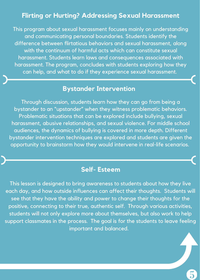### **Flirting or Hurting? Addressing Sexual Harassment**

This program about sexual harassment focuses mainly on understanding and communicating personal boundaries. Students identify the difference between flirtatious behaviors and sexual harassment, along with the continuum of harmful acts which can constitute sexual harassment. Students learn laws and consequences associated with harassment. The program, concludes with students exploring how they can help, and what to do if they experience sexual harassment.

### **Bystander Intervention**

Through discussion, students learn how they can go from being a bystander to an "upstander" when they witness problematic behaviors. Problematic situations that can be explored include bullying, sexual harassment, abusive relationships, and sexual violence. For middle school audiences, the dynamics of bullying is covered in more depth. Different bystander intervention techniques are explored and students are given the opportunity to brainstorm how they would intervene in real-life scenarios.

### **Self- Esteem**

This lesson is designed to bring awareness to students about how they live each day, and how outside influences can affect their thoughts. Students will see that they have the ability and power to change their thoughts for the positive, connecting to their true, authentic self. Through various activities, students will not only explore more about themselves, but also work to help support classmates in the process. The goal is for the students to leave feeling important and balanced.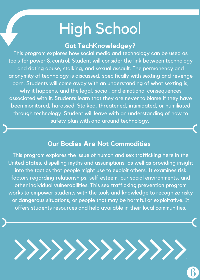## High School

### **Got TechKnowledgey?**

This program explores how social media and technology can be used as tools for power & control. Student will consider the link between technology and dating abuse, stalking, and sexual assault. The permanency and anonymity of technology is discussed, specifically with sexting and revenge porn. Students will come away with an understanding of what sexting is, why it happens, and the legal, social, and emotional consequences associated with it. Students learn that they are never to blame if they have been monitored, harassed. Stalked, threatened, intimidated, or humiliated through technology. Student will leave with an understanding of how to safety plan with and around technology.

### **Our Bodies Are Not Commodities**

This program explores the issue of human and sex trafficking here in the United States, dispelling myths and assumptions, as well as providing insight into the tactics that people might use to exploit others. It examines risk factors regarding relationships, self-esteem, our social environments, and other individual vulnerabilities. This sex trafficking prevention program works to empower students with the tools and knowledge to recognize risky or dangerous situations, or people that may be harmful or exploitative. It offers students resources and help available in their local communities.